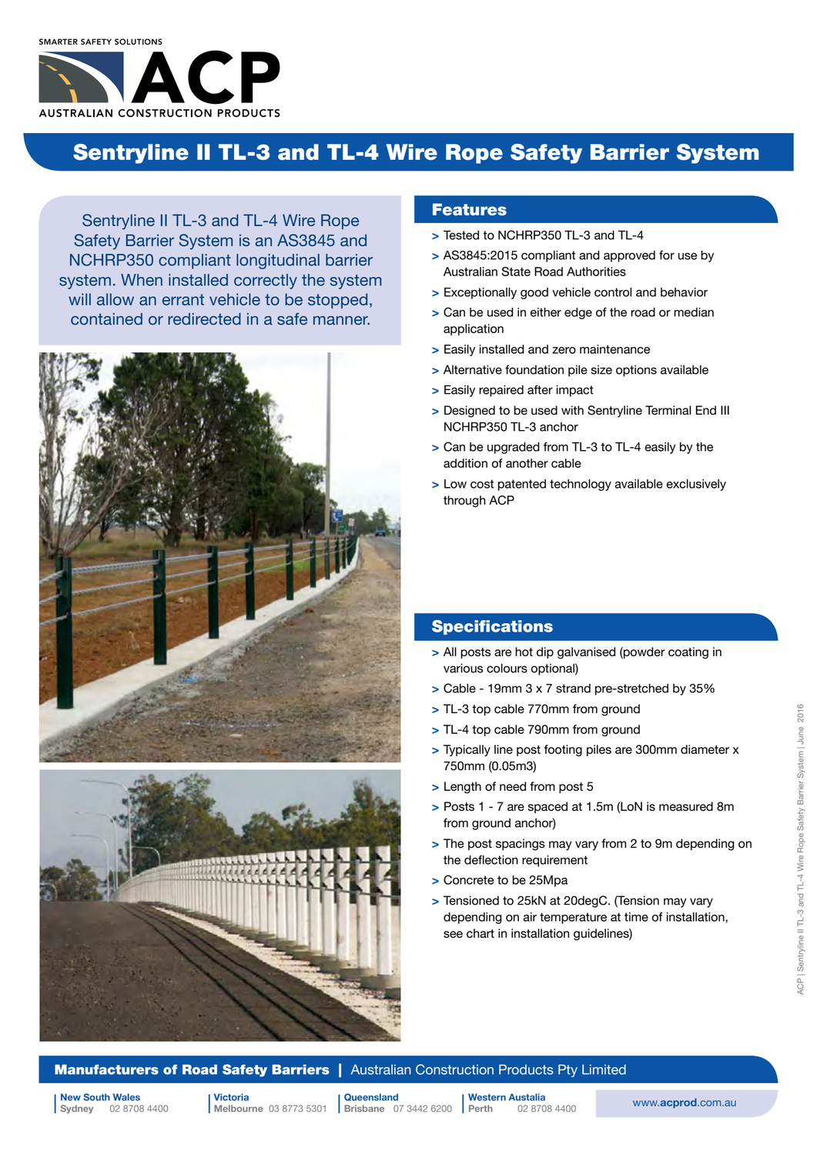# Sentryline II TL-3 and TL-4 Wire Rope Safety Barrier System

Sentryline II TL-3 and TL-4 Wire Rope Safety Barrier System is an AS3845 and NCHRP350 compliant longitudinal barrier system. When installed correctly the system will allow an errant vehicle to be stopped, contained or redirected in a safe manner.





## Features

- > Tested to NCHRP350 TL-3 and TL-4
- > AS3845:2015 compliant and approved for use by Australian State Road Authorities
- > Exceptionally good vehicle control and behavior
- > Can be used in either edge of the road or median application
- > Easily installed and zero maintenance
- > Alternative foundation pile size options available
- > Easily repaired after impact
- > Designed to be used with Sentryline Terminal End III NCHRP350 TL-3 anchor
- > Can be upgraded from TL-3 to TL-4 easily by the addition of another cable
- > Low cost patented technology available exclusively through ACP

## **Specifications**

- > All posts are hot dip galvanised (powder coating in various colours optional)
- > Cable 19mm 3 x 7 strand pre-stretched by 35%
- > TL-3 top cable 770mm from ground
- > TL-4 top cable 790mm from ground
- > Typically line post footing piles are 300mm diameter x 750mm (0.05m3)
- > Length of need from post 5
- > Posts 1 7 are spaced at 1.5m (LoN is measured 8m from ground anchor)
- > The post spacings may vary from 2 to 9m depending on the deflection requirement
- > Concrete to be 25Mpa
- > Tensioned to 25kN at 20degC. (Tension may vary depending on air temperature at time of installation, see chart in installation guidelines)

# 2016 ACP | Sentryline II TL-3 and TL-4 Wire Rope Safety Barrier System | June 2016 Sentryline II TL-3 and TL-4 Wire Rope Safety Barrier System | June **ACP**

#### **Manufacturers of Road Safety Barriers** | Australian Construction Products Pty Limited

| New South Wales | Victoria | Victoria | Queensland | Western Austalia | Western Australia | Western Austalia | Western Austalia | Western Austalia | Western Austalia | Western Austalia | Western Australia | Western Austr 02 8708 4400

Victoria Melbourne 03 8773 5301 **Brisbane** 07 3442 6200

**Queensland** Western Austalia

02 8708 4400